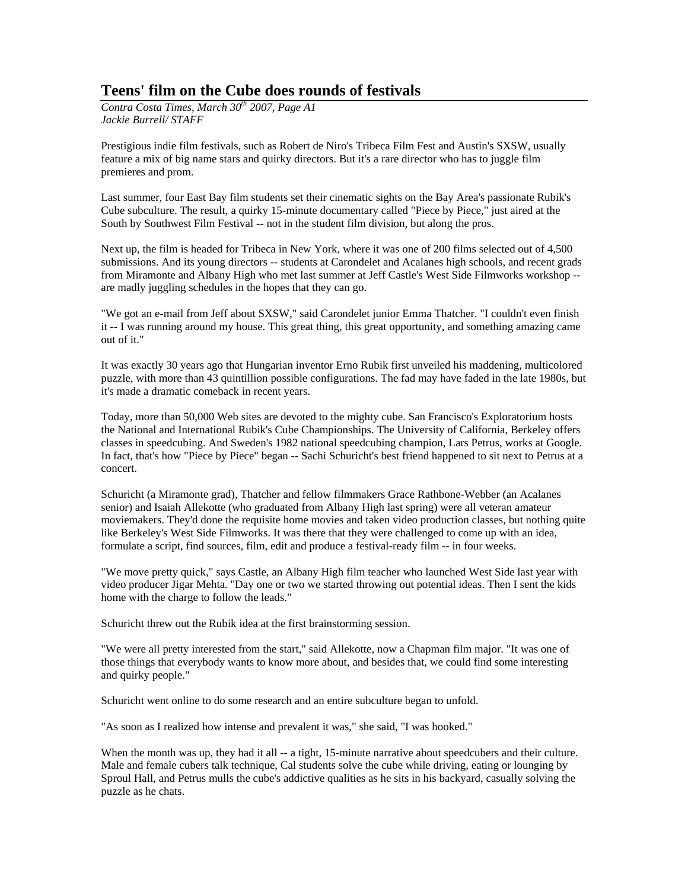## **Teens' film on the Cube does rounds of festivals**

*Contra Costa Times, March 30<sup>th</sup> 2007, Page A1 Jackie Burrell/ STAFF*

Prestigious indie film festivals, such as Robert de Niro's Tribeca Film Fest and Austin's SXSW, usually feature a mix of big name stars and quirky directors. But it's a rare director who has to juggle film premieres and prom.

Last summer, four East Bay film students set their cinematic sights on the Bay Area's passionate Rubik's Cube subculture. The result, a quirky 15-minute documentary called "Piece by Piece," just aired at the South by Southwest Film Festival -- not in the student film division, but along the pros.

Next up, the film is headed for Tribeca in New York, where it was one of 200 films selected out of 4,500 submissions. And its young directors -- students at Carondelet and Acalanes high schools, and recent grads from Miramonte and Albany High who met last summer at Jeff Castle's West Side Filmworks workshop - are madly juggling schedules in the hopes that they can go.

"We got an e-mail from Jeff about SXSW," said Carondelet junior Emma Thatcher. "I couldn't even finish it -- I was running around my house. This great thing, this great opportunity, and something amazing came out of it."

It was exactly 30 years ago that Hungarian inventor Erno Rubik first unveiled his maddening, multicolored puzzle, with more than 43 quintillion possible configurations. The fad may have faded in the late 1980s, but it's made a dramatic comeback in recent years.

Today, more than 50,000 Web sites are devoted to the mighty cube. San Francisco's Exploratorium hosts the National and International Rubik's Cube Championships. The University of California, Berkeley offers classes in speedcubing. And Sweden's 1982 national speedcubing champion, Lars Petrus, works at Google. In fact, that's how "Piece by Piece" began -- Sachi Schuricht's best friend happened to sit next to Petrus at a concert.

Schuricht (a Miramonte grad), Thatcher and fellow filmmakers Grace Rathbone-Webber (an Acalanes senior) and Isaiah Allekotte (who graduated from Albany High last spring) were all veteran amateur moviemakers. They'd done the requisite home movies and taken video production classes, but nothing quite like Berkeley's West Side Filmworks. It was there that they were challenged to come up with an idea, formulate a script, find sources, film, edit and produce a festival-ready film -- in four weeks.

"We move pretty quick," says Castle, an Albany High film teacher who launched West Side last year with video producer Jigar Mehta. "Day one or two we started throwing out potential ideas. Then I sent the kids home with the charge to follow the leads."

Schuricht threw out the Rubik idea at the first brainstorming session.

"We were all pretty interested from the start," said Allekotte, now a Chapman film major. "It was one of those things that everybody wants to know more about, and besides that, we could find some interesting and quirky people."

Schuricht went online to do some research and an entire subculture began to unfold.

"As soon as I realized how intense and prevalent it was," she said, "I was hooked."

When the month was up, they had it all -- a tight, 15-minute narrative about speedcubers and their culture. Male and female cubers talk technique, Cal students solve the cube while driving, eating or lounging by Sproul Hall, and Petrus mulls the cube's addictive qualities as he sits in his backyard, casually solving the puzzle as he chats.